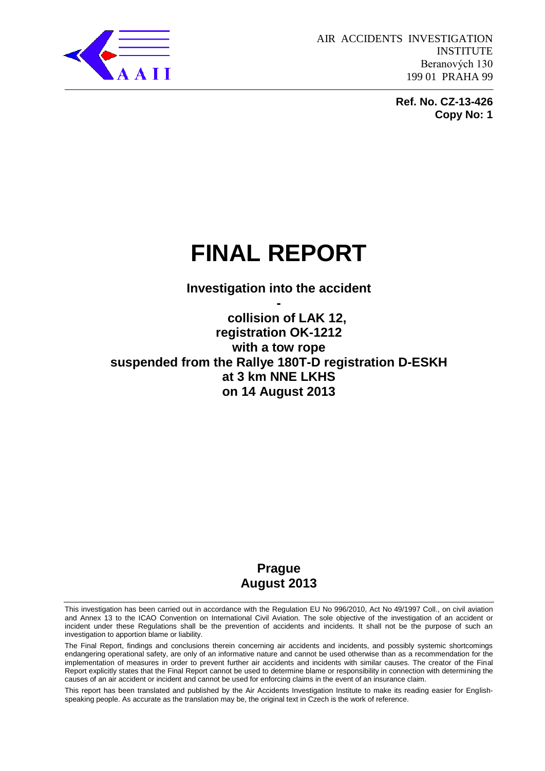

**Ref. No. CZ-13-426 Copy No: 1** 

# **FINAL REPORT**

**Investigation into the accident -**

# **collision of LAK 12, registration OK-1212 with a tow rope suspended from the Rallye 180T-D registration D-ESKH at 3 km NNE LKHS on 14 August 2013**

# **Prague August 2013**

This investigation has been carried out in accordance with the Regulation EU No 996/2010, Act No 49/1997 Coll., on civil aviation and Annex 13 to the ICAO Convention on International Civil Aviation. The sole objective of the investigation of an accident or incident under these Regulations shall be the prevention of accidents and incidents. It shall not be the purpose of such an investigation to apportion blame or liability.

The Final Report, findings and conclusions therein concerning air accidents and incidents, and possibly systemic shortcomings endangering operational safety, are only of an informative nature and cannot be used otherwise than as a recommendation for the implementation of measures in order to prevent further air accidents and incidents with similar causes. The creator of the Final Report explicitly states that the Final Report cannot be used to determine blame or responsibility in connection with determining the causes of an air accident or incident and cannot be used for enforcing claims in the event of an insurance claim.

This report has been translated and published by the Air Accidents Investigation Institute to make its reading easier for Englishspeaking people. As accurate as the translation may be, the original text in Czech is the work of reference.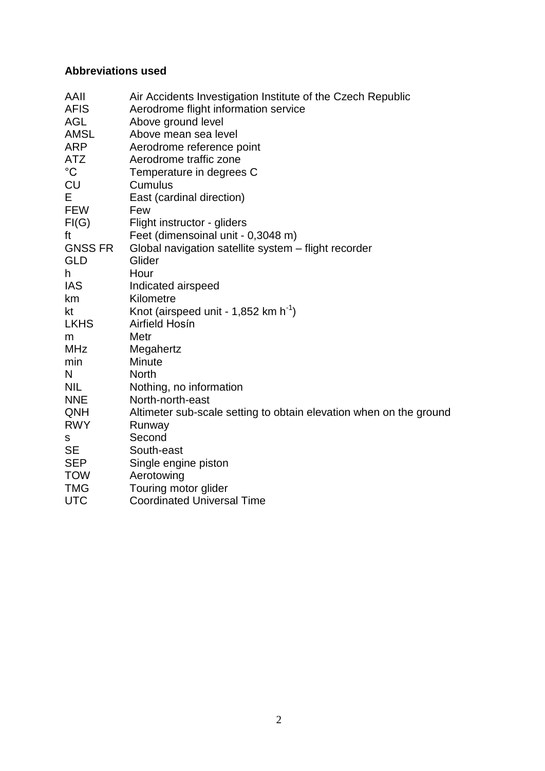# **Abbreviations used**

| AAII           | Air Accidents Investigation Institute of the Czech Republic        |
|----------------|--------------------------------------------------------------------|
| <b>AFIS</b>    | Aerodrome flight information service                               |
| <b>AGL</b>     | Above ground level                                                 |
| <b>AMSL</b>    | Above mean sea level                                               |
| <b>ARP</b>     | Aerodrome reference point                                          |
| <b>ATZ</b>     | Aerodrome traffic zone                                             |
| $^{\circ}C$    | Temperature in degrees C                                           |
| <b>CU</b>      | Cumulus                                                            |
| Е              | East (cardinal direction)                                          |
| <b>FEW</b>     | Few                                                                |
| FI(G)          | Flight instructor - gliders                                        |
| ft             | Feet (dimensoinal unit - 0,3048 m)                                 |
| <b>GNSS FR</b> | Global navigation satellite system - flight recorder               |
| <b>GLD</b>     | Glider                                                             |
| h              | Hour                                                               |
| <b>IAS</b>     | Indicated airspeed                                                 |
| km             | Kilometre                                                          |
| kt             | Knot (airspeed unit - 1,852 km $h^{-1}$ )                          |
| <b>LKHS</b>    | Airfield Hosín                                                     |
| m              | Metr                                                               |
| <b>MHz</b>     | Megahertz                                                          |
| min            | Minute                                                             |
| N              | <b>North</b>                                                       |
| <b>NIL</b>     | Nothing, no information                                            |
| <b>NNE</b>     | North-north-east                                                   |
| QNH            | Altimeter sub-scale setting to obtain elevation when on the ground |
| <b>RWY</b>     | Runway                                                             |
| s              | Second                                                             |
| <b>SE</b>      | South-east                                                         |
| <b>SEP</b>     | Single engine piston                                               |
| <b>TOW</b>     | Aerotowing                                                         |
| <b>TMG</b>     | Touring motor glider                                               |
| <b>UTC</b>     | <b>Coordinated Universal Time</b>                                  |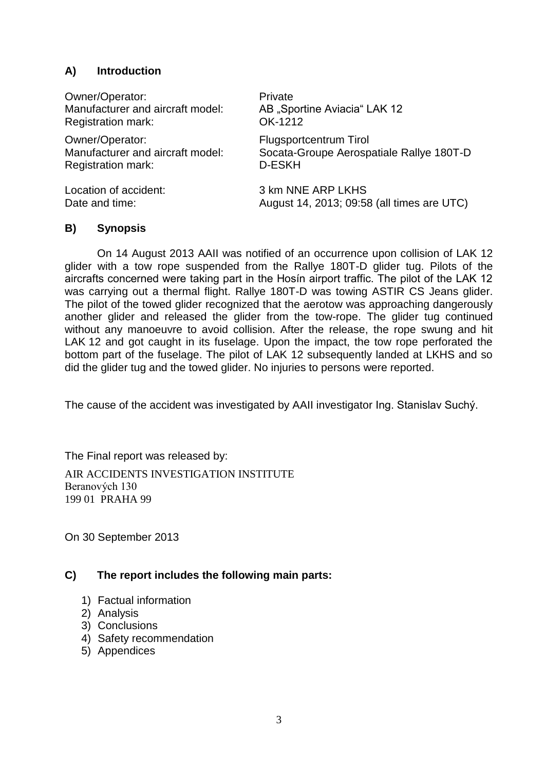# **A) Introduction**

Owner/Operator: Private Manufacturer and aircraft model: AB .Sportine Aviacia "LAK 12 Registration mark: OK-1212

Owner/Operator: Flugsportcentrum Tirol Registration mark: D-ESKH

Manufacturer and aircraft model: Socata-Groupe Aerospatiale Rallye 180T-D

Location of accident: 3 km NNE ARP LKHS Date and time:  $\frac{1}{2}$  August 14, 2013; 09:58 (all times are UTC)

# **B) Synopsis**

On 14 August 2013 AAII was notified of an occurrence upon collision of LAK 12 glider with a tow rope suspended from the Rallye 180T-D glider tug. Pilots of the aircrafts concerned were taking part in the Hosín airport traffic. The pilot of the LAK 12 was carrying out a thermal flight. Rallye 180T-D was towing ASTIR CS Jeans glider. The pilot of the towed glider recognized that the aerotow was approaching dangerously another glider and released the glider from the tow-rope. The glider tug continued without any manoeuvre to avoid collision. After the release, the rope swung and hit LAK 12 and got caught in its fuselage. Upon the impact, the tow rope perforated the bottom part of the fuselage. The pilot of LAK 12 subsequently landed at LKHS and so did the glider tug and the towed glider. No injuries to persons were reported.

The cause of the accident was investigated by AAII investigator Ing. Stanislav Suchý.

The Final report was released by:

AIR ACCIDENTS INVESTIGATION INSTITUTE Beranových 130 199 01 PRAHA 99

On 30 September 2013

# **C) The report includes the following main parts:**

- 1) Factual information
- 2) Analysis
- 3) Conclusions
- 4) Safety recommendation
- 5) Appendices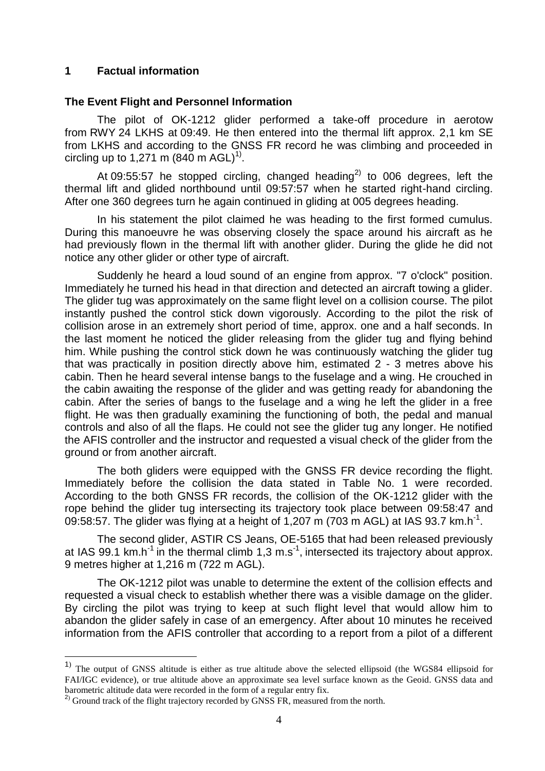### **1 Factual information**

#### **The Event Flight and Personnel Information**

The pilot of OK-1212 glider performed a take-off procedure in aerotow from RWY 24 LKHS at 09:49. He then entered into the thermal lift approx. 2,1 km SE from LKHS and according to the GNSS FR record he was climbing and proceeded in circling up to 1,271 m (840 m AGL)<sup>1)</sup>.

At 09:55:57 he stopped circling, changed heading<sup>2)</sup> to 006 degrees, left the thermal lift and glided northbound until 09:57:57 when he started right-hand circling. After one 360 degrees turn he again continued in gliding at 005 degrees heading.

In his statement the pilot claimed he was heading to the first formed cumulus. During this manoeuvre he was observing closely the space around his aircraft as he had previously flown in the thermal lift with another glider. During the glide he did not notice any other glider or other type of aircraft.

Suddenly he heard a loud sound of an engine from approx. "7 o'clock" position. Immediately he turned his head in that direction and detected an aircraft towing a glider. The glider tug was approximately on the same flight level on a collision course. The pilot instantly pushed the control stick down vigorously. According to the pilot the risk of collision arose in an extremely short period of time, approx. one and a half seconds. In the last moment he noticed the glider releasing from the glider tug and flying behind him. While pushing the control stick down he was continuously watching the glider tug that was practically in position directly above him, estimated 2 - 3 metres above his cabin. Then he heard several intense bangs to the fuselage and a wing. He crouched in the cabin awaiting the response of the glider and was getting ready for abandoning the cabin. After the series of bangs to the fuselage and a wing he left the glider in a free flight. He was then gradually examining the functioning of both, the pedal and manual controls and also of all the flaps. He could not see the glider tug any longer. He notified the AFIS controller and the instructor and requested a visual check of the glider from the ground or from another aircraft.

The both gliders were equipped with the GNSS FR device recording the flight. Immediately before the collision the data stated in Table No. 1 were recorded. According to the both GNSS FR records, the collision of the OK-1212 glider with the rope behind the glider tug intersecting its trajectory took place between 09:58:47 and 09:58:57. The glider was flying at a height of 1,207 m (703 m AGL) at IAS 93.7 km.h<sup>-1</sup>.

The second glider, ASTIR CS Jeans, OE-5165 that had been released previously at IAS 99.1 km.h<sup>-1</sup> in the thermal climb 1,3 m.s<sup>-1</sup>, intersected its trajectory about approx. 9 metres higher at 1,216 m (722 m AGL).

The OK-1212 pilot was unable to determine the extent of the collision effects and requested a visual check to establish whether there was a visible damage on the glider. By circling the pilot was trying to keep at such flight level that would allow him to abandon the glider safely in case of an emergency. After about 10 minutes he received information from the AFIS controller that according to a report from a pilot of a different

<sup>&</sup>lt;sup>1)</sup> The output of GNSS altitude is either as true altitude above the selected ellipsoid (the WGS84 ellipsoid for FAI/IGC evidence), or true altitude above an approximate sea level surface known as the Geoid. GNSS data and barometric altitude data were recorded in the form of a regular entry fix.

 $^{2)}$  Ground track of the flight trajectory recorded by GNSS FR, measured from the north.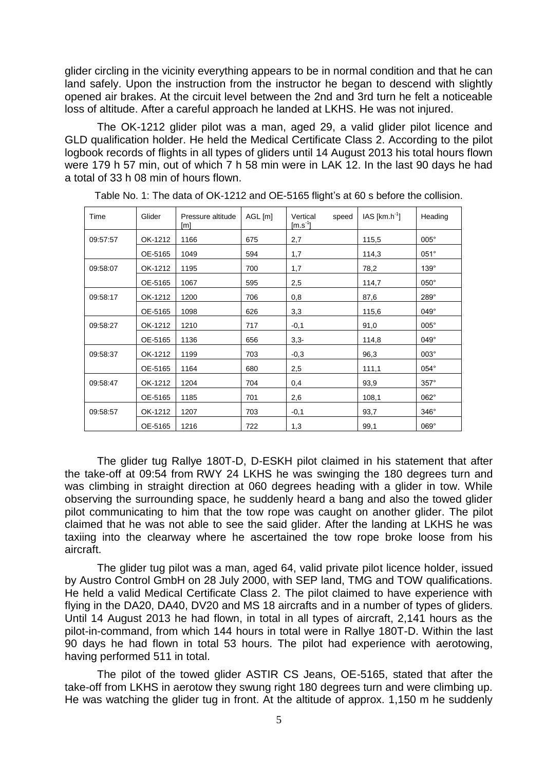glider circling in the vicinity everything appears to be in normal condition and that he can land safely. Upon the instruction from the instructor he began to descend with slightly opened air brakes. At the circuit level between the 2nd and 3rd turn he felt a noticeable loss of altitude. After a careful approach he landed at LKHS. He was not injured.

The OK-1212 glider pilot was a man, aged 29, a valid glider pilot licence and GLD qualification holder. He held the Medical Certificate Class 2. According to the pilot logbook records of flights in all types of gliders until 14 August 2013 his total hours flown were 179 h 57 min, out of which 7 h 58 min were in LAK 12. In the last 90 days he had a total of 33 h 08 min of hours flown.

| Time     | Glider  | Pressure altitude<br>[m] | AGL [m] | Vertical<br>speed<br>$[m.s^{-1}]$ | $IAS [km.h-1]$ | Heading     |
|----------|---------|--------------------------|---------|-----------------------------------|----------------|-------------|
| 09:57:57 | OK-1212 | 1166                     | 675     | 2,7                               | 115,5          | $005^\circ$ |
|          | OE-5165 | 1049                     | 594     | 1,7                               | 114,3          | $051^\circ$ |
| 09:58:07 | OK-1212 | 1195                     | 700     | 1,7                               | 78,2           | $139^\circ$ |
|          | OE-5165 | 1067                     | 595     | 2,5                               | 114,7          | $050^\circ$ |
| 09:58:17 | OK-1212 | 1200                     | 706     | 0,8                               | 87,6           | 289°        |
|          | OE-5165 | 1098                     | 626     | 3,3                               | 115,6          | $049^\circ$ |
| 09:58:27 | OK-1212 | 1210                     | 717     | $-0,1$                            | 91,0           | $005^\circ$ |
|          | OE-5165 | 1136                     | 656     | $3,3-$                            | 114,8          | $049^\circ$ |
| 09:58:37 | OK-1212 | 1199                     | 703     | $-0,3$                            | 96,3           | $003^\circ$ |
|          | OE-5165 | 1164                     | 680     | 2,5                               | 111,1          | $054^\circ$ |
| 09:58:47 | OK-1212 | 1204                     | 704     | 0,4                               | 93,9           | $357^\circ$ |
|          | OE-5165 | 1185                     | 701     | 2,6                               | 108,1          | 062°        |
| 09:58:57 | OK-1212 | 1207                     | 703     | $-0,1$                            | 93,7           | $346^\circ$ |
|          | OE-5165 | 1216                     | 722     | 1,3                               | 99,1           | $069^\circ$ |

Table No. 1: The data of OK-1212 and OE-5165 flight's at 60 s before the collision.

The glider tug Rallye 180T-D, D-ESKH pilot claimed in his statement that after the take-off at 09:54 from RWY 24 LKHS he was swinging the 180 degrees turn and was climbing in straight direction at 060 degrees heading with a glider in tow. While observing the surrounding space, he suddenly heard a bang and also the towed glider pilot communicating to him that the tow rope was caught on another glider. The pilot claimed that he was not able to see the said glider. After the landing at LKHS he was taxiing into the clearway where he ascertained the tow rope broke loose from his aircraft.

The glider tug pilot was a man, aged 64, valid private pilot licence holder, issued by Austro Control GmbH on 28 July 2000, with SEP land, TMG and TOW qualifications. He held a valid Medical Certificate Class 2. The pilot claimed to have experience with flying in the DA20, DA40, DV20 and MS 18 aircrafts and in a number of types of gliders. Until 14 August 2013 he had flown, in total in all types of aircraft, 2,141 hours as the pilot-in-command, from which 144 hours in total were in Rallye 180T-D. Within the last 90 days he had flown in total 53 hours. The pilot had experience with aerotowing, having performed 511 in total.

The pilot of the towed glider ASTIR CS Jeans, OE-5165, stated that after the take-off from LKHS in aerotow they swung right 180 degrees turn and were climbing up. He was watching the glider tug in front. At the altitude of approx. 1,150 m he suddenly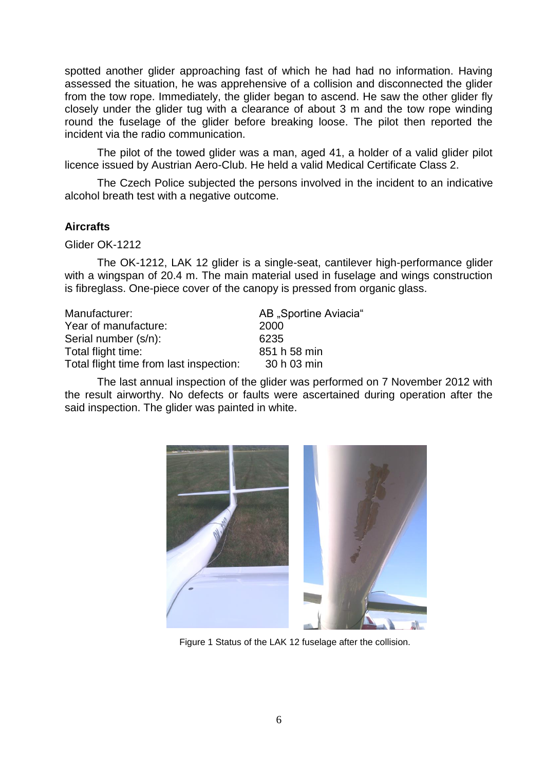spotted another glider approaching fast of which he had had no information. Having assessed the situation, he was apprehensive of a collision and disconnected the glider from the tow rope. Immediately, the glider began to ascend. He saw the other glider fly closely under the glider tug with a clearance of about 3 m and the tow rope winding round the fuselage of the glider before breaking loose. The pilot then reported the incident via the radio communication.

The pilot of the towed glider was a man, aged 41, a holder of a valid glider pilot licence issued by Austrian Aero-Club. He held a valid Medical Certificate Class 2.

The Czech Police subjected the persons involved in the incident to an indicative alcohol breath test with a negative outcome.

# **Aircrafts**

Glider OK-1212

The OK-1212, LAK 12 glider is a single-seat, cantilever high-performance glider with a wingspan of 20.4 m. The main material used in fuselage and wings construction is fibreglass. One-piece cover of the canopy is pressed from organic glass.

| Manufacturer:                           | AB "Sportine Aviacia" |
|-----------------------------------------|-----------------------|
| Year of manufacture:                    | 2000                  |
| Serial number (s/n):                    | 6235                  |
| Total flight time:                      | 851 h 58 min          |
| Total flight time from last inspection: | 30 h 03 min           |
|                                         |                       |

The last annual inspection of the glider was performed on 7 November 2012 with the result airworthy. No defects or faults were ascertained during operation after the said inspection. The glider was painted in white.



Figure 1 Status of the LAK 12 fuselage after the collision.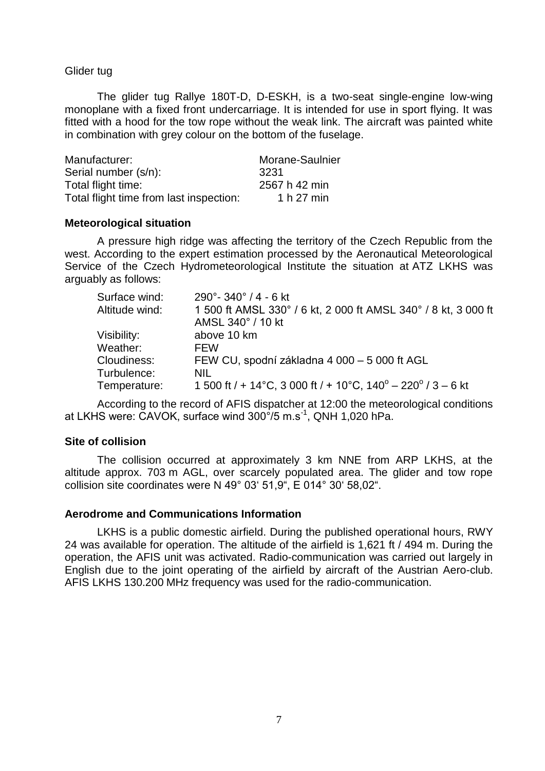Glider tug

The glider tug Rallye 180T-D, D-ESKH, is a two-seat single-engine low-wing monoplane with a fixed front undercarriage. It is intended for use in sport flying. It was fitted with a hood for the tow rope without the weak link. The aircraft was painted white in combination with grey colour on the bottom of the fuselage.

| Manufacturer:                           | Morane-Saulnier |
|-----------------------------------------|-----------------|
| Serial number (s/n):                    | 3231            |
| Total flight time:                      | 2567 h 42 min   |
| Total flight time from last inspection: | 1 h 27 min      |

#### **Meteorological situation**

A pressure high ridge was affecting the territory of the Czech Republic from the west. According to the expert estimation processed by the Aeronautical Meteorological Service of the Czech Hydrometeorological Institute the situation at ATZ LKHS was arguably as follows:

| Surface wind:  | $290^\circ$ - 340 $^\circ$ / 4 - 6 kt                                    |
|----------------|--------------------------------------------------------------------------|
| Altitude wind: | 1 500 ft AMSL 330° / 6 kt, 2 000 ft AMSL 340° / 8 kt, 3 000 ft           |
|                | AMSL 340° / 10 kt                                                        |
| Visibility:    | above 10 km                                                              |
| Weather:       | FFW                                                                      |
| Cloudiness:    | FEW CU, spodní základna 4 000 – 5 000 ft AGL                             |
| Turbulence:    | <b>NIL</b>                                                               |
| Temperature:   | 1 500 ft / + 14 °C, 3 000 ft / + 10 °C, $140^{\circ}$ – 220 ° / 3 – 6 kt |

According to the record of AFIS dispatcher at 12:00 the meteorological conditions at LKHS were: CAVOK, surface wind 300°/5 m.s-1 , QNH 1,020 hPa.

#### **Site of collision**

The collision occurred at approximately 3 km NNE from ARP LKHS, at the altitude approx. 703 m AGL, over scarcely populated area. The glider and tow rope collision site coordinates were N 49° 03' 51,9", E 014° 30' 58,02".

#### **Aerodrome and Communications Information**

LKHS is a public domestic airfield. During the published operational hours, RWY 24 was available for operation. The altitude of the airfield is 1,621 ft / 494 m. During the operation, the AFIS unit was activated. Radio-communication was carried out largely in English due to the joint operating of the airfield by aircraft of the Austrian Aero-club. AFIS LKHS 130.200 MHz frequency was used for the radio-communication.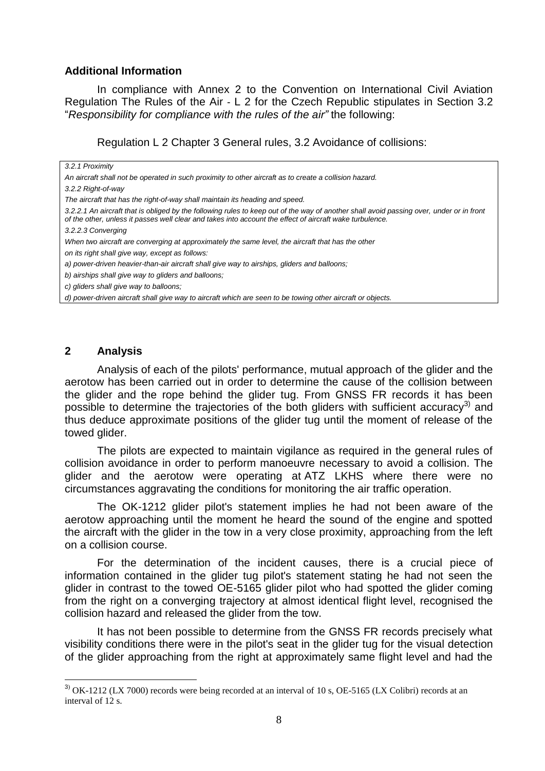# **Additional Information**

In compliance with Annex 2 to the Convention on International Civil Aviation Regulation The Rules of the Air - L 2 for the Czech Republic stipulates in Section 3.2 "*Responsibility for compliance with the rules of the air"* the following:

Regulation L 2 Chapter 3 General rules, 3.2 Avoidance of collisions:

| 3.2.1 Proximity                                                                                                                                                                                                                                      |
|------------------------------------------------------------------------------------------------------------------------------------------------------------------------------------------------------------------------------------------------------|
| An aircraft shall not be operated in such proximity to other aircraft as to create a collision hazard.                                                                                                                                               |
| 3.2.2 Right-of-way                                                                                                                                                                                                                                   |
| The aircraft that has the right-of-way shall maintain its heading and speed.                                                                                                                                                                         |
| 3.2.2.1 An aircraft that is obliged by the following rules to keep out of the way of another shall avoid passing over, under or in front<br>of the other, unless it passes well clear and takes into account the effect of aircraft wake turbulence. |
| 3.2.2.3 Converging                                                                                                                                                                                                                                   |
| When two aircraft are converging at approximately the same level, the aircraft that has the other                                                                                                                                                    |
| on its right shall give way, except as follows:                                                                                                                                                                                                      |
| a) power-driven heavier-than-air aircraft shall give way to airships, gliders and balloons;                                                                                                                                                          |
| b) airships shall give way to gliders and balloons;                                                                                                                                                                                                  |
| c) gliders shall give way to balloons:                                                                                                                                                                                                               |
| d) power-driven aircraft shall give way to aircraft which are seen to be towing other aircraft or objects.                                                                                                                                           |
|                                                                                                                                                                                                                                                      |

# **2 Analysis**

1

Analysis of each of the pilots' performance, mutual approach of the glider and the aerotow has been carried out in order to determine the cause of the collision between the glider and the rope behind the glider tug. From GNSS FR records it has been possible to determine the trajectories of the both gliders with sufficient accuracy<sup>3)</sup> and thus deduce approximate positions of the glider tug until the moment of release of the towed glider.

The pilots are expected to maintain vigilance as required in the general rules of collision avoidance in order to perform manoeuvre necessary to avoid a collision. The glider and the aerotow were operating at ATZ LKHS where there were no circumstances aggravating the conditions for monitoring the air traffic operation.

The OK-1212 glider pilot's statement implies he had not been aware of the aerotow approaching until the moment he heard the sound of the engine and spotted the aircraft with the glider in the tow in a very close proximity, approaching from the left on a collision course.

For the determination of the incident causes, there is a crucial piece of information contained in the glider tug pilot's statement stating he had not seen the glider in contrast to the towed OE-5165 glider pilot who had spotted the glider coming from the right on a converging trajectory at almost identical flight level, recognised the collision hazard and released the glider from the tow.

It has not been possible to determine from the GNSS FR records precisely what visibility conditions there were in the pilot's seat in the glider tug for the visual detection of the glider approaching from the right at approximately same flight level and had the

<sup>&</sup>lt;sup>3)</sup> OK-1212 (LX 7000) records were being recorded at an interval of 10 s, OE-5165 (LX Colibri) records at an interval of 12 s.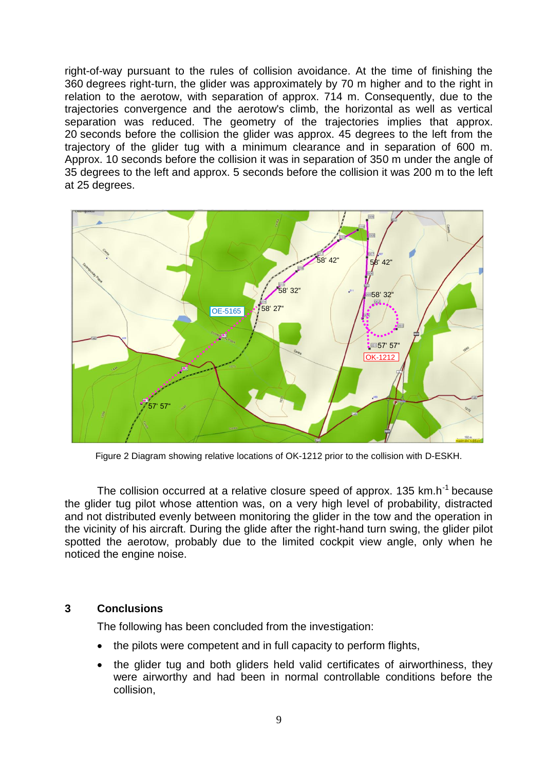right-of-way pursuant to the rules of collision avoidance. At the time of finishing the 360 degrees right-turn, the glider was approximately by 70 m higher and to the right in relation to the aerotow, with separation of approx. 714 m. Consequently, due to the trajectories convergence and the aerotow's climb, the horizontal as well as vertical separation was reduced. The geometry of the trajectories implies that approx. 20 seconds before the collision the glider was approx. 45 degrees to the left from the trajectory of the glider tug with a minimum clearance and in separation of 600 m. Approx. 10 seconds before the collision it was in separation of 350 m under the angle of 35 degrees to the left and approx. 5 seconds before the collision it was 200 m to the left at 25 degrees.



Figure 2 Diagram showing relative locations of OK-1212 prior to the collision with D-ESKH.

The collision occurred at a relative closure speed of approx. 135 km.h<sup>-1</sup> because the glider tug pilot whose attention was, on a very high level of probability, distracted and not distributed evenly between monitoring the glider in the tow and the operation in the vicinity of his aircraft. During the glide after the right-hand turn swing, the glider pilot spotted the aerotow, probably due to the limited cockpit view angle, only when he noticed the engine noise.

# **3 Conclusions**

The following has been concluded from the investigation:

- the pilots were competent and in full capacity to perform flights,
- the glider tug and both gliders held valid certificates of airworthiness, they were airworthy and had been in normal controllable conditions before the collision,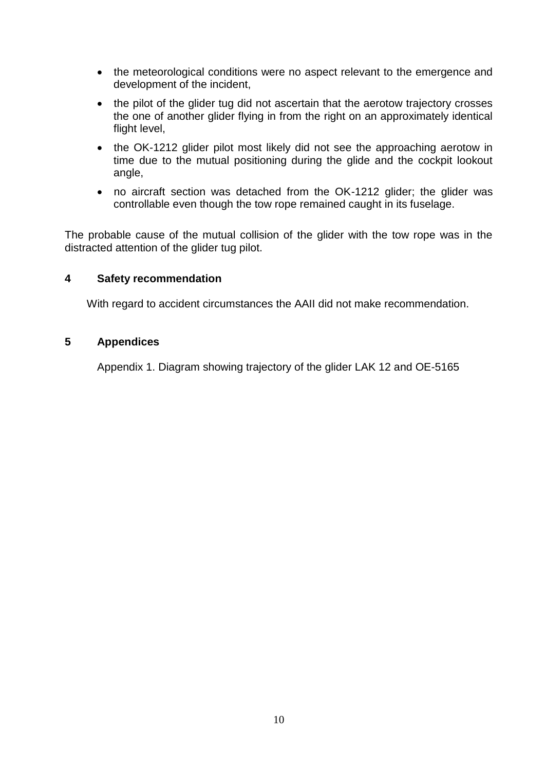- the meteorological conditions were no aspect relevant to the emergence and development of the incident,
- the pilot of the glider tug did not ascertain that the aerotow trajectory crosses the one of another glider flying in from the right on an approximately identical flight level,
- the OK-1212 glider pilot most likely did not see the approaching aerotow in time due to the mutual positioning during the glide and the cockpit lookout angle,
- no aircraft section was detached from the OK-1212 glider; the glider was controllable even though the tow rope remained caught in its fuselage.

The probable cause of the mutual collision of the glider with the tow rope was in the distracted attention of the glider tug pilot.

# **4 Safety recommendation**

With regard to accident circumstances the AAII did not make recommendation.

# **5 Appendices**

Appendix 1. Diagram showing trajectory of the glider LAK 12 and OE-5165